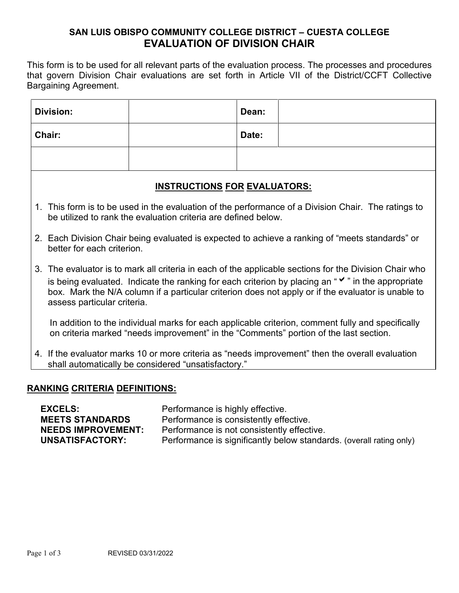## **SAN LUIS OBISPO COMMUNITY COLLEGE DISTRICT – CUESTA COLLEGE EVALUATION OF DIVISION CHAIR**

This form is to be used for all relevant parts of the evaluation process. The processes and procedures that govern Division Chair evaluations are set forth in Article VII of the District/CCFT Collective Bargaining Agreement.

| Division:                           |                                                                                                                                                                                                                                                                                                                                                              |  | Dean: |                                                                                                                                                                                            |  |  |  |
|-------------------------------------|--------------------------------------------------------------------------------------------------------------------------------------------------------------------------------------------------------------------------------------------------------------------------------------------------------------------------------------------------------------|--|-------|--------------------------------------------------------------------------------------------------------------------------------------------------------------------------------------------|--|--|--|
| Chair:                              |                                                                                                                                                                                                                                                                                                                                                              |  | Date: |                                                                                                                                                                                            |  |  |  |
|                                     |                                                                                                                                                                                                                                                                                                                                                              |  |       |                                                                                                                                                                                            |  |  |  |
| <u>INSTRUCTIONS FOR EVALUATORS:</u> |                                                                                                                                                                                                                                                                                                                                                              |  |       |                                                                                                                                                                                            |  |  |  |
|                                     | 1. This form is to be used in the evaluation of the performance of a Division Chair. The ratings to<br>be utilized to rank the evaluation criteria are defined below.                                                                                                                                                                                        |  |       |                                                                                                                                                                                            |  |  |  |
|                                     | 2. Each Division Chair being evaluated is expected to achieve a ranking of "meets standards" or<br>better for each criterion.                                                                                                                                                                                                                                |  |       |                                                                                                                                                                                            |  |  |  |
|                                     | 3. The evaluator is to mark all criteria in each of the applicable sections for the Division Chair who<br>is being evaluated. Indicate the ranking for each criterion by placing an " $\checkmark$ " in the appropriate<br>box. Mark the N/A column if a particular criterion does not apply or if the evaluator is unable to<br>assess particular criteria. |  |       |                                                                                                                                                                                            |  |  |  |
|                                     |                                                                                                                                                                                                                                                                                                                                                              |  |       | In addition to the individual marks for each applicable criterion, comment fully and specifically<br>on criteria marked "needs improvement" in the "Comments" portion of the last section. |  |  |  |
|                                     | 4. If the evaluator marks 10 or more criteria as "needs improvement" then the overall evaluation<br>shall automatically be considered "unsatisfactory."                                                                                                                                                                                                      |  |       |                                                                                                                                                                                            |  |  |  |
|                                     |                                                                                                                                                                                                                                                                                                                                                              |  |       |                                                                                                                                                                                            |  |  |  |

## **RANKING CRITERIA DEFINITIONS:**

| <b>EXCELS:</b>            | Performance is highly effective.                                    |
|---------------------------|---------------------------------------------------------------------|
| <b>MEETS STANDARDS</b>    | Performance is consistently effective.                              |
| <b>NEEDS IMPROVEMENT:</b> | Performance is not consistently effective.                          |
| UNSATISFACTORY:           | Performance is significantly below standards. (overall rating only) |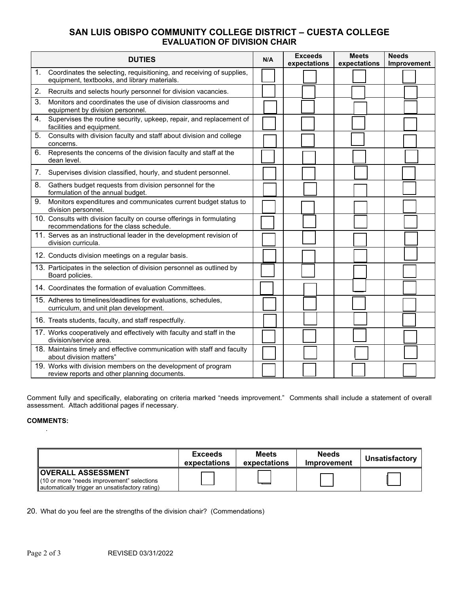## **SAN LUIS OBISPO COMMUNITY COLLEGE DISTRICT – CUESTA COLLEGE EVALUATION OF DIVISION CHAIR**

| <b>DUTIES</b> |                                                                                                                       | N/A | <b>Exceeds</b><br>expectations | <b>Meets</b><br>expectations | <b>Needs</b><br>Improvement |  |
|---------------|-----------------------------------------------------------------------------------------------------------------------|-----|--------------------------------|------------------------------|-----------------------------|--|
| 1.            | Coordinates the selecting, requisitioning, and receiving of supplies,<br>equipment, textbooks, and library materials. |     |                                |                              |                             |  |
| 2.            | Recruits and selects hourly personnel for division vacancies.                                                         |     |                                |                              |                             |  |
| 3.            | Monitors and coordinates the use of division classrooms and<br>equipment by division personnel.                       |     |                                |                              |                             |  |
| 4.            | Supervises the routine security, upkeep, repair, and replacement of<br>facilities and equipment.                      |     |                                |                              |                             |  |
| 5.            | Consults with division faculty and staff about division and college<br>concerns.                                      |     |                                |                              |                             |  |
| 6.            | Represents the concerns of the division faculty and staff at the<br>dean level.                                       |     |                                |                              |                             |  |
| 7.            | Supervises division classified, hourly, and student personnel.                                                        |     |                                |                              |                             |  |
| 8.            | Gathers budget requests from division personnel for the<br>formulation of the annual budget.                          |     |                                |                              |                             |  |
| 9.            | Monitors expenditures and communicates current budget status to<br>division personnel.                                |     |                                |                              |                             |  |
|               | 10. Consults with division faculty on course offerings in formulating<br>recommendations for the class schedule.      |     |                                |                              |                             |  |
|               | 11. Serves as an instructional leader in the development revision of<br>division curricula.                           |     |                                |                              |                             |  |
|               | 12. Conducts division meetings on a regular basis.                                                                    |     |                                |                              |                             |  |
|               | 13. Participates in the selection of division personnel as outlined by<br>Board policies.                             |     |                                |                              |                             |  |
|               | 14. Coordinates the formation of evaluation Committees.                                                               |     |                                |                              |                             |  |
|               | 15. Adheres to timelines/deadlines for evaluations, schedules,<br>curriculum, and unit plan development.              |     |                                |                              |                             |  |
|               | 16. Treats students, faculty, and staff respectfully.                                                                 |     |                                |                              |                             |  |
|               | 17. Works cooperatively and effectively with faculty and staff in the<br>division/service area.                       |     |                                |                              |                             |  |
|               | 18. Maintains timely and effective communication with staff and faculty<br>about division matters"                    |     |                                |                              |                             |  |
|               | 19. Works with division members on the development of program<br>review reports and other planning documents.         |     |                                |                              |                             |  |

Comment fully and specifically, elaborating on criteria marked "needs improvement." Comments shall include a statement of overall assessment. Attach additional pages if necessary.

## **COMMENTS:** .

|                                                                                                                               | Exceeds<br>expectations | <b>Meets</b><br>expectations | <b>Needs</b><br>Improvement | Unsatisfactory |
|-------------------------------------------------------------------------------------------------------------------------------|-------------------------|------------------------------|-----------------------------|----------------|
| <b>OVERALL ASSESSMENT</b><br>(10 or more "needs improvement" selections<br>   automatically trigger an unsatisfactory rating) |                         |                              |                             |                |

20. What do you feel are the strengths of the division chair? (Commendations)